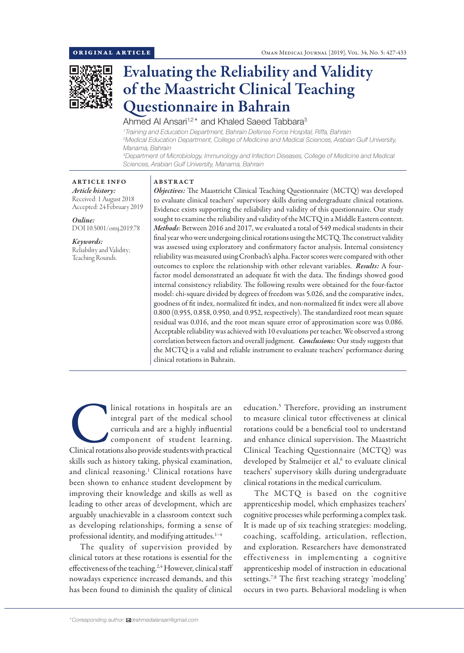

# Evaluating the Reliability and Validity of the Maastricht Clinical Teaching Questionnaire in Bahrain

Ahmed Al Ansari<sup>1,2\*</sup> and Khaled Saeed Tabbara<sup>3</sup>

*1 Training and Education Department, Bahrain Defense Force Hospital, Riffa, Bahrain 2 Medical Education Department, College of Medicine and Medical Sciences, Arabian Gulf University, Manama, Bahrain*

*3 Department of Microbiology, Immunology and Infection Diseases, College of Medicine and Medical Sciences, Arabian Gulf University, Manama, Bahrain*

### ARTICLE INFO

*Article history:* Received: 1 August 2018 Accepted: 24 February 2019

*Online:* DOI 10.5001/omj.2019.78

*Keywords:*  Reliability and Validity; Teaching Rounds.

### ABSTRACT

*Objectives:* The Maastricht Clinical Teaching Questionnaire (MCTQ) was developed to evaluate clinical teachers' supervisory skills during undergraduate clinical rotations. Evidence exists supporting the reliability and validity of this questionnaire. Our study sought to examine the reliability and validity of the MCTQ in a Middle Eastern context. *Methods*: Between 2016 and 2017, we evaluated a total of 549 medical students in their final year who were undergoing clinical rotations using the MCTQ. The construct validity was assessed using exploratory and confirmatory factor analysis. Internal consistency reliability was measured using Cronbach's alpha. Factor scores were compared with other outcomes to explore the relationship with other relevant variables. *Results:* A fourfactor model demonstrated an adequate fit with the data. The findings showed good internal consistency reliability. The following results were obtained for the four-factor model: chi-square divided by degrees of freedom was 5.026, and the comparative index, goodness of fit index, normalized fit index, and non-normalized fit index were all above 0.800 (0.955, 0.858, 0.950, and 0.952, respectively). The standardized root mean square residual was 0.016, and the root mean square error of approximation score was 0.086. Acceptable reliability was achieved with 10 evaluations per teacher. We observed a strong correlation between factors and overall judgment. *Conclusions:* Our study suggests that the MCTQ is a valid and reliable instrument to evaluate teachers' performance during clinical rotations in Bahrain.

Inical rotations in hospitals are an integral part of the medical school curricula and are a highly influential component of student learning.<br>Clinical rotations also provide students with practical integral part of the medical school curricula and are a highly influential component of student learning. skills such as history taking, physical examination, and clinical reasoning.<sup>1</sup> Clinical rotations have been shown to enhance student development by improving their knowledge and skills as well as leading to other areas of development, which are arguably unachievable in a classroom context such as developing relationships, forming a sense of professional identity, and modifying attitudes.<sup>1-4</sup>

The quality of supervision provided by clinical tutors at these rotations is essential for the effectiveness of the teaching.<sup>2,4</sup> However, clinical staff nowadays experience increased demands, and this has been found to diminish the quality of clinical

education.5 Therefore, providing an instrument to measure clinical tutor effectiveness at clinical rotations could be a beneficial tool to understand and enhance clinical supervision. The Maastricht Clinical Teaching Questionnaire (MCTQ) was developed by Stalmeijer et al,<sup>6</sup> to evaluate clinical teachers' supervisory skills during undergraduate clinical rotations in the medical curriculum.

The MCTQ is based on the cognitive apprenticeship model, which emphasizes teachers' cognitive processes while performing a complex task. It is made up of six teaching strategies: modeling, coaching, scaffolding, articulation, reflection, and exploration. Researchers have demonstrated effectiveness in implementing a cognitive apprenticeship model of instruction in educational settings.<sup>7,8</sup> The first teaching strategy 'modeling' occurs in two parts. Behavioral modeling is when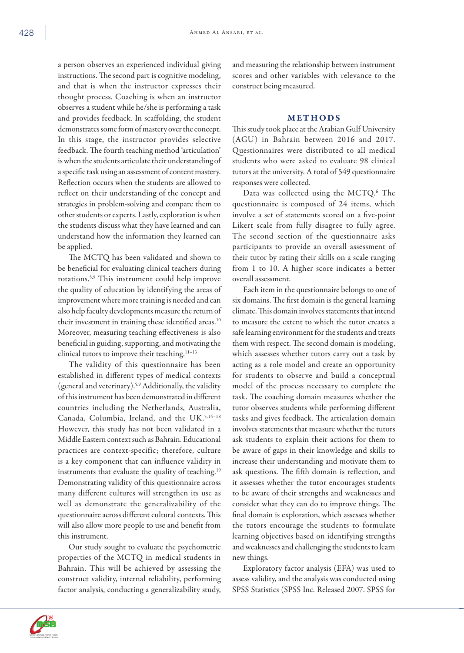a person observes an experienced individual giving instructions. The second part is cognitive modeling, and that is when the instructor expresses their thought process. Coaching is when an instructor observes a student while he/she is performing a task and provides feedback. In scaffolding, the student demonstrates some form of mastery over the concept. In this stage, the instructor provides selective feedback. The fourth teaching method 'articulation' is when the students articulate their understanding of a specific task using an assessment of content mastery. Reflection occurs when the students are allowed to reflect on their understanding of the concept and strategies in problem-solving and compare them to other students or experts. Lastly, exploration is when the students discuss what they have learned and can understand how the information they learned can be applied.

The MCTQ has been validated and shown to be beneficial for evaluating clinical teachers during rotations.5,9 This instrument could help improve the quality of education by identifying the areas of improvement where more training is needed and can also help faculty developments measure the return of their investment in training these identified areas.<sup>10</sup> Moreover, measuring teaching effectiveness is also beneficial in guiding, supporting, and motivating the clinical tutors to improve their teaching.<sup>11-13</sup>

The validity of this questionnaire has been established in different types of medical contexts (general and veterinary).5,9 Additionally, the validity of this instrument has been demonstrated in different countries including the Netherlands, Australia, Canada, Columbia, Ireland, and the UK.<sup>5,14-18</sup> However, this study has not been validated in a Middle Eastern context such as Bahrain. Educational practices are context-specific; therefore, culture is a key component that can influence validity in instruments that evaluate the quality of teaching.<sup>19</sup> Demonstrating validity of this questionnaire across many different cultures will strengthen its use as well as demonstrate the generalizability of the questionnaire across different cultural contexts. This will also allow more people to use and benefit from this instrument.

Our study sought to evaluate the psychometric properties of the MCTQ in medical students in Bahrain. This will be achieved by assessing the construct validity, internal reliability, performing factor analysis, conducting a generalizability study,

and measuring the relationship between instrument scores and other variables with relevance to the construct being measured.

# METHODS

This study took place at the Arabian Gulf University (AGU) in Bahrain between 2016 and 2017. Questionnaires were distributed to all medical students who were asked to evaluate 98 clinical tutors at the university. A total of 549 questionnaire responses were collected.

Data was collected using the MCTQ.<sup>6</sup> The questionnaire is composed of 24 items, which involve a set of statements scored on a five-point Likert scale from fully disagree to fully agree. The second section of the questionnaire asks participants to provide an overall assessment of their tutor by rating their skills on a scale ranging from 1 to 10. A higher score indicates a better overall assessment.

Each item in the questionnaire belongs to one of six domains. The first domain is the general learning climate. This domain involves statements that intend to measure the extent to which the tutor creates a safe learning environment for the students and treats them with respect. The second domain is modeling, which assesses whether tutors carry out a task by acting as a role model and create an opportunity for students to observe and build a conceptual model of the process necessary to complete the task. The coaching domain measures whether the tutor observes students while performing different tasks and gives feedback. The articulation domain involves statements that measure whether the tutors ask students to explain their actions for them to be aware of gaps in their knowledge and skills to increase their understanding and motivate them to ask questions. The fifth domain is reflection, and it assesses whether the tutor encourages students to be aware of their strengths and weaknesses and consider what they can do to improve things. The final domain is exploration, which assesses whether the tutors encourage the students to formulate learning objectives based on identifying strengths and weaknesses and challenging the students to learn new things.

Exploratory factor analysis (EFA) was used to assess validity, and the analysis was conducted using SPSS Statistics (SPSS Inc. Released 2007. SPSS for

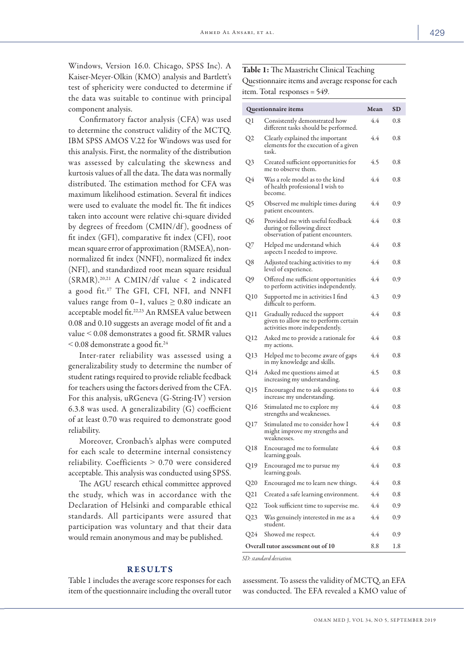Windows, Version 16.0. Chicago, SPSS Inc). A Kaiser-Meyer-Olkin (KMO) analysis and Bartlett's test of sphericity were conducted to determine if the data was suitable to continue with principal component analysis.

Confirmatory factor analysis (CFA) was used to determine the construct validity of the MCTQ. IBM SPSS AMOS V.22 for Windows was used for this analysis. First, the normality of the distribution was assessed by calculating the skewness and kurtosis values of all the data. The data was normally distributed. The estimation method for CFA was maximum likelihood estimation. Several fit indices were used to evaluate the model fit. The fit indices taken into account were relative chi-square divided by degrees of freedom (CMIN/df ), goodness of fit index (GFI), comparative fit index (CFI), root mean square error of approximation (RMSEA), nonnormalized fit index (NNFI), normalized fit index (NFI), and standardized root mean square residual (SRMR).20,21 A CMIN/df value < 2 indicated a good fit.17 The GFI, CFI, NFI, and NNFI values range from  $0-1$ , values  $\geq 0.80$  indicate an acceptable model fit.22,23 An RMSEA value between 0.08 and 0.10 suggests an average model of fit and a value < 0.08 demonstrates a good fit. SRMR values  $<$  0.08 demonstrate a good fit.<sup>24</sup>

Inter-rater reliability was assessed using a generalizability study to determine the number of student ratings required to provide reliable feedback for teachers using the factors derived from the CFA. For this analysis, uRGeneva (G-String-IV) version 6.3.8 was used. A generalizability (G) coefficient of at least 0.70 was required to demonstrate good reliability.

Moreover, Cronbach's alphas were computed for each scale to determine internal consistency reliability. Coefficients > 0.70 were considered acceptable. This analysis was conducted using SPSS.

The AGU research ethical committee approved the study, which was in accordance with the Declaration of Helsinki and comparable ethical standards. All participants were assured that participation was voluntary and that their data would remain anonymous and may be published.

### RESULTS

Table 1 includes the average score responses for each item of the questionnaire including the overall tutor

# Table 1: The Maastricht Clinical Teaching Questionnaire items and average response for each

item. Total responses = 549.

|              | Questionnaire items                                                                                     | Mean | SD  |
|--------------|---------------------------------------------------------------------------------------------------------|------|-----|
| Q1           | Consistently demonstrated how<br>different tasks should be performed.                                   | 4.4  | 0.8 |
| Q2           | Clearly explained the important<br>elements for the execution of a given<br>task.                       | 4.4  | 0.8 |
| Q3           | Created sufficient opportunities for<br>me to observe them.                                             | 4.5  | 0.8 |
| Q4           | Was a role model as to the kind<br>of health professional I wish to<br>become.                          | 4.4  | 0.8 |
| Q5           | Observed me multiple times during<br>patient encounters.                                                | 4.4  | 0.9 |
| Q6           | Provided me with useful feedback<br>during or following direct<br>observation of patient encounters.    | 4.4  | 0.8 |
| Q7           | Helped me understand which<br>aspects I needed to improve.                                              | 4.4  | 0.8 |
| Q8           | Adjusted teaching activities to my<br>level of experience.                                              | 4.4  | 0.8 |
| Q9           | Offered me sufficient opportunities<br>to perform activities independently.                             | 4.4  | 0.9 |
| $_{\rm Q10}$ | Supported me in activities I find<br>difficult to perform.                                              | 4.3  | 0.9 |
| Q11          | Gradually reduced the support<br>given to allow me to perform certain<br>activities more independently. | 4.4  | 0.8 |
| Q12          | Asked me to provide a rationale for<br>my actions.                                                      | 4.4  | 0.8 |
| Q13          | Helped me to become aware of gaps<br>in my knowledge and skills.                                        | 4.4  | 0.8 |
| Q14          | Asked me questions aimed at<br>increasing my understanding.                                             | 4.5  | 0.8 |
| Q15          | Encouraged me to ask questions to<br>increase my understanding.                                         | 4.4  | 0.8 |
| Q16          | Stimulated me to explore my<br>strengths and weaknesses.                                                | 4.4  | 0.8 |
| Q17          | Stimulated me to consider how I<br>might improve my strengths and<br>weaknesses.                        | 4.4  | 0.8 |
| Q18          | Encouraged me to formulate<br>learning goals.                                                           | 4.4  | 0.8 |
| Q19          | Encouraged me to pursue my<br>learning goals.                                                           | 4.4  | 0.8 |
| Q20          | Encouraged me to learn new things.                                                                      | 4.4  | 0.8 |
| Q21          | Created a safe learning environment.                                                                    | 4.4  | 0.8 |
| Q22          | Took sufficient time to supervise me.                                                                   | 4.4  | 0.9 |
| Q23          | Was genuinely interested in me as a<br>student.                                                         | 4.4  | 0.9 |
| Q24          | Showed me respect.                                                                                      | 4.4  | 0.9 |
|              | Overall tutor assessment out of 10                                                                      | 8.8  | 1.8 |

*SD: standard deviation.*

assessment. To assess the validity of MCTQ, an EFA was conducted. The EFA revealed a KMO value of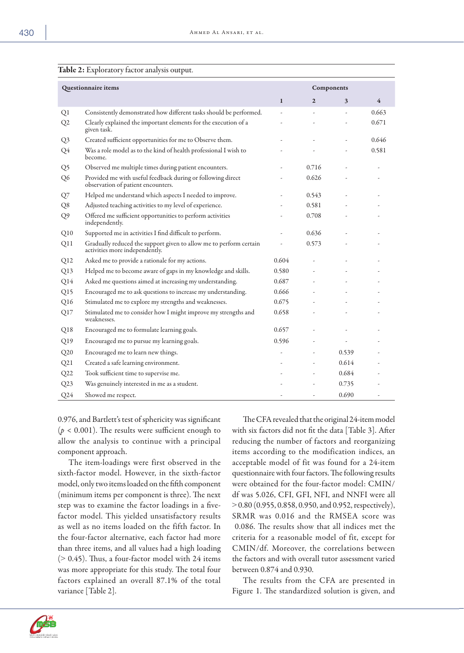| Table 2: Exploratory factor analysis output. |       |  |  |  |  |  |
|----------------------------------------------|-------|--|--|--|--|--|
| Components                                   |       |  |  |  |  |  |
| 3                                            | 4     |  |  |  |  |  |
|                                              | 0.663 |  |  |  |  |  |
|                                              | 0.671 |  |  |  |  |  |
|                                              | 0.646 |  |  |  |  |  |
|                                              | 0.581 |  |  |  |  |  |
|                                              |       |  |  |  |  |  |
|                                              |       |  |  |  |  |  |
|                                              |       |  |  |  |  |  |
|                                              |       |  |  |  |  |  |

| Q5              | Observed me multiple times during patient encounters.                                                |       | 0.716 |       |  |
|-----------------|------------------------------------------------------------------------------------------------------|-------|-------|-------|--|
| Q6              | Provided me with useful feedback during or following direct<br>observation of patient encounters.    |       | 0.626 |       |  |
| Q7              | Helped me understand which aspects I needed to improve.                                              |       | 0.543 |       |  |
| Q8              | Adjusted teaching activities to my level of experience.                                              |       | 0.581 |       |  |
| Q9              | Offered me sufficient opportunities to perform activities<br>independently.                          |       | 0.708 |       |  |
| Q10             | Supported me in activities I find difficult to perform.                                              |       | 0.636 |       |  |
| Q11             | Gradually reduced the support given to allow me to perform certain<br>activities more independently. |       | 0.573 |       |  |
| Q12             | Asked me to provide a rationale for my actions.                                                      | 0.604 |       |       |  |
| Q <sub>13</sub> | Helped me to become aware of gaps in my knowledge and skills.                                        | 0.580 |       |       |  |
| Q14             | Asked me questions aimed at increasing my understanding.                                             | 0.687 |       |       |  |
| Q <sub>15</sub> | Encouraged me to ask questions to increase my understanding.                                         | 0.666 |       |       |  |
| Q <sub>16</sub> | Stimulated me to explore my strengths and weaknesses.                                                | 0.675 |       |       |  |
| Q17             | Stimulated me to consider how I might improve my strengths and<br>weaknesses.                        | 0.658 |       |       |  |
| Q <sub>18</sub> | Encouraged me to formulate learning goals.                                                           | 0.657 |       |       |  |
| Q <sub>19</sub> | Encouraged me to pursue my learning goals.                                                           | 0.596 |       |       |  |
| Q20             | Encouraged me to learn new things.                                                                   |       |       | 0.539 |  |
| Q21             | Created a safe learning environment.                                                                 |       |       | 0.614 |  |
| Q22             | Took sufficient time to supervise me.                                                                |       |       | 0.684 |  |
| Q23             | Was genuinely interested in me as a student.                                                         |       |       | 0.735 |  |
| Q24             | Showed me respect.                                                                                   |       |       | 0.690 |  |
|                 |                                                                                                      |       |       |       |  |

0.976, and Bartlett's test of sphericity was significant  $(p < 0.001)$ . The results were sufficient enough to allow the analysis to continue with a principal component approach.

The item-loadings were first observed in the sixth-factor model. However, in the sixth-factor model, only two items loaded on the fifth component (minimum items per component is three). The next step was to examine the factor loadings in a fivefactor model. This yielded unsatisfactory results as well as no items loaded on the fifth factor. In the four-factor alternative, each factor had more than three items, and all values had a high loading  $(> 0.45)$ . Thus, a four-factor model with 24 items was more appropriate for this study. The total four factors explained an overall 87.1% of the total variance [Table 2].

The CFA revealed that the original 24-item model with six factors did not fit the data [Table 3]. After reducing the number of factors and reorganizing items according to the modification indices, an acceptable model of fit was found for a 24-item questionnaire with four factors. The following results were obtained for the four-factor model: CMIN/ df was 5.026, CFI, GFI, NFI, and NNFI were all > 0.80 (0.955, 0.858, 0.950, and 0.952, respectively), SRMR was 0.016 and the RMSEA score was 0.086. The results show that all indices met the criteria for a reasonable model of fit, except for CMIN/df. Moreover, the correlations between the factors and with overall tutor assessment varied between 0.874 and 0.930.

The results from the CFA are presented in Figure 1. The standardized solution is given, and

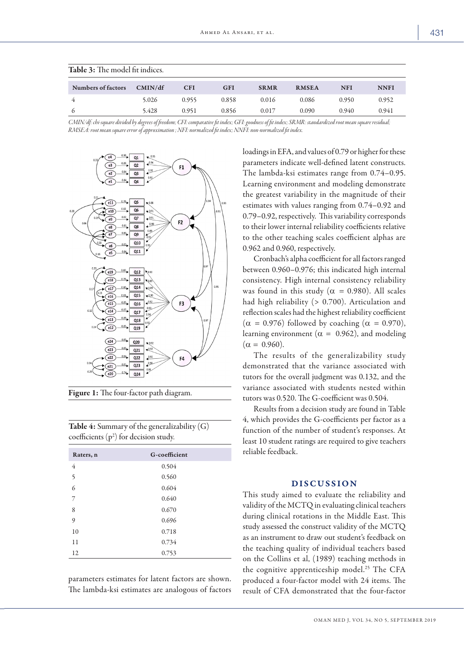| <b>Table 3:</b> The model fit indices. |         |            |            |             |              |            |             |
|----------------------------------------|---------|------------|------------|-------------|--------------|------------|-------------|
| <b>Numbers of factors</b>              | CMIN/df | <b>CFI</b> | <b>GFI</b> | <b>SRMR</b> | <b>RMSEA</b> | <b>NFI</b> | <b>NNFI</b> |
|                                        | 5.026   | 0.955      | 0.858      | 0.016       | 0.086        | 0.950      | 0.952       |
|                                        | 5.428   | 0.951      | 0.856      | 0.017       | 0.090        | 0.940      | 0.941       |

*CMIN/df: chi-square divided by degrees of freedom; CFI: comparative fit index; GFI: goodness of fit index; SRMR: standardized root mean square residual; RMSEA: root mean square error of approximation ; NFI: normalized fit index; NNFI: non-normalized fit index.*



Figure 1: The four-factor path diagram.

| Raters, n | G-coefficient |  |
|-----------|---------------|--|
| 4         | 0.504         |  |
| 5         | 0.560         |  |
| 6         | 0.604         |  |
| 7         | 0.640         |  |
| 8         | 0.670         |  |
| 9         | 0.696         |  |
| 10        | 0.718         |  |
| 11        | 0.734         |  |
| 12        | 0.753         |  |

Table 4: Summary of the generalizability (G) coefficients  $(p^2)$  for decision study.

parameters estimates for latent factors are shown. The lambda-ksi estimates are analogous of factors loadings in EFA, and values of 0.79 or higher for these parameters indicate well-defined latent constructs. The lambda-ksi estimates range from 0.74–0.95. Learning environment and modeling demonstrate the greatest variability in the magnitude of their estimates with values ranging from 0.74–0.92 and 0.79–0.92, respectively. This variability corresponds to their lower internal reliability coefficients relative to the other teaching scales coefficient alphas are 0.962 and 0.960, respectively.

Cronbach's alpha coefficient for all factors ranged between 0.960–0.976; this indicated high internal consistency. High internal consistency reliability was found in this study ( $\alpha = 0.980$ ). All scales had high reliability (> 0.700). Articulation and reflection scales had the highest reliability coefficient  $(\alpha = 0.976)$  followed by coaching  $(\alpha = 0.970)$ , learning environment ( $\alpha = 0.962$ ), and modeling  $(\alpha = 0.960)$ .

The results of the generalizability study demonstrated that the variance associated with tutors for the overall judgment was 0.132, and the variance associated with students nested within tutors was 0.520. The G-coefficient was 0.504.

Results from a decision study are found in Table 4, which provides the G-coefficients per factor as a function of the number of student's responses. At least 10 student ratings are required to give teachers reliable feedback.

# DISCUSSION

This study aimed to evaluate the reliability and validity of the MCTQ in evaluating clinical teachers during clinical rotations in the Middle East. This study assessed the construct validity of the MCTQ as an instrument to draw out student's feedback on the teaching quality of individual teachers based on the Collins et al, (1989) teaching methods in the cognitive apprenticeship model.<sup>25</sup> The CFA produced a four-factor model with 24 items. The result of CFA demonstrated that the four-factor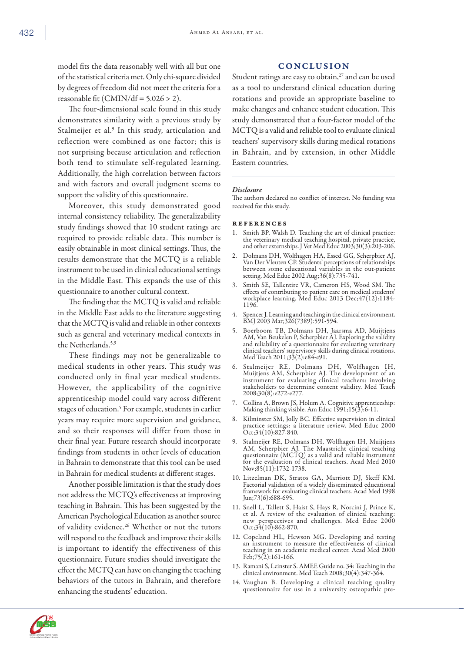model fits the data reasonably well with all but one of the statistical criteria met. Only chi-square divided by degrees of freedom did not meet the criteria for a reasonable fit (CMIN/df =  $5.026 > 2$ ).

The four-dimensional scale found in this study demonstrates similarity with a previous study by Stalmeijer et al.9 In this study, articulation and reflection were combined as one factor; this is not surprising because articulation and reflection both tend to stimulate self-regulated learning. Additionally, the high correlation between factors and with factors and overall judgment seems to support the validity of this questionnaire.

Moreover, this study demonstrated good internal consistency reliability. The generalizability study findings showed that 10 student ratings are required to provide reliable data. This number is easily obtainable in most clinical settings. Thus, the results demonstrate that the MCTQ is a reliable instrument to be used in clinical educational settings in the Middle East. This expands the use of this questionnaire to another cultural context.

The finding that the MCTQ is valid and reliable in the Middle East adds to the literature suggesting that the MCTQ is valid and reliable in other contexts such as general and veterinary medical contexts in the Netherlands.5,9

These findings may not be generalizable to medical students in other years. This study was conducted only in final year medical students. However, the applicability of the cognitive apprenticeship model could vary across different stages of education.<sup>5</sup> For example, students in earlier years may require more supervision and guidance, and so their responses will differ from those in their final year. Future research should incorporate findings from students in other levels of education in Bahrain to demonstrate that this tool can be used in Bahrain for medical students at different stages.

Another possible limitation is that the study does not address the MCTQ's effectiveness at improving teaching in Bahrain. This has been suggested by the American Psychological Education as another source of validity evidence.<sup>26</sup> Whether or not the tutors will respond to the feedback and improve their skills is important to identify the effectiveness of this questionnaire. Future studies should investigate the effect the MCTQ can have on changing the teaching behaviors of the tutors in Bahrain, and therefore enhancing the students' education.

# CONCLUSION

Student ratings are easy to obtain,<sup>27</sup> and can be used as a tool to understand clinical education during rotations and provide an appropriate baseline to make changes and enhance student education. This study demonstrated that a four-factor model of the MCTQ is a valid and reliable tool to evaluate clinical teachers' supervisory skills during medical rotations in Bahrain, and by extension, in other Middle Eastern countries.

### *Disclosure*

The authors declared no conflict of interest. No funding was received for this study.

#### references

- 1. Smith BP, Walsh D. Teaching the art of clinical practice: the veterinary medical teaching hospital, private practice, and other externships. J Vet Med Educ 2003;30(3):203-206.
- 2. Dolmans DH, Wolfhagen HA, Essed GG, Scherpbier AJ, between some educational variables in the out-patient setting. Med Educ 2002 Aug;36(8):735-741.
- 3. Smith SE, Tallentire VR, Cameron HS, Wood SM. The effects of contributing to patient care on medical students' workplace learning. Med Educ 2013 Dec;47(12):1184- 1196.
- 4. Spencer J. Learning and teaching in the clinical environment. BMJ 2003 Mar;326(7389):591-594.
- 5. Boerboom TB, Dolmans DH, Jaarsma AD, Muijtjens AM, Van Beukelen P, Scherpbier AJ. Exploring the validity and reliability of a questionnaire for evaluating veterinary clinical teachers' supervisory skills during clinical rotations. Med Teach 2011;33(2):e84-e91.
- 6. Stalmeijer RE, Dolmans DH, Wolfhagen IH, Muijtjens AM, Scherpbier AJ. The development of an instrument for evaluating clinical teachers: involving stakeholders to determine content validity. Med Teach 2008;30(8):e272-e277.
- 7. Collins A, Brown JS, Holum A. Cognitive apprenticeship: Making thinking visible. Am Educ 1991;15(3):6-11.
- 8. Kilminster SM, Jolly BC. Effective supervision in clinical practice settings: a literature review. Med Educ 2000 Oct;34(10):827-840.
- 9. Stalmeijer RE, Dolmans DH, Wolfhagen IH, Muijtjens AM, Scherpbier AJ. The Maastricht clinical teaching questionnaire (MCTQ) as a valid and reliable instrument for the evaluation of clinical teachers. Acad Med 2010 Nov;85(11):1732-1738.
- 10. Litzelman DK, Stratos GA, Marriott DJ, Skeff KM. Factorial validation of a widely disseminated educational framework for evaluating clinical teachers. Acad Med 1998 Jun;73(6):688-695.
- 11. Snell L, Tallett S, Haist S, Hays R, Norcini J, Prince K, et al. A review of the evaluation of clinical teaching: new perspectives and challenges. Med Educ 2000 Oct;34(10):862-870.
- 12. Copeland HL, Hewson MG. Developing and testing an instrument to measure the effectiveness of clinical teaching in an academic medical center. Acad Med 2000 Feb;75(2):161-166.
- 13. Ramani S, Leinster S. AMEE Guide no. 34: Teaching in the clinical environment. Med Teach 2008;30(4):347-364.
- 14. Vaughan B. Developing a clinical teaching quality questionnaire for use in a university osteopathic pre-